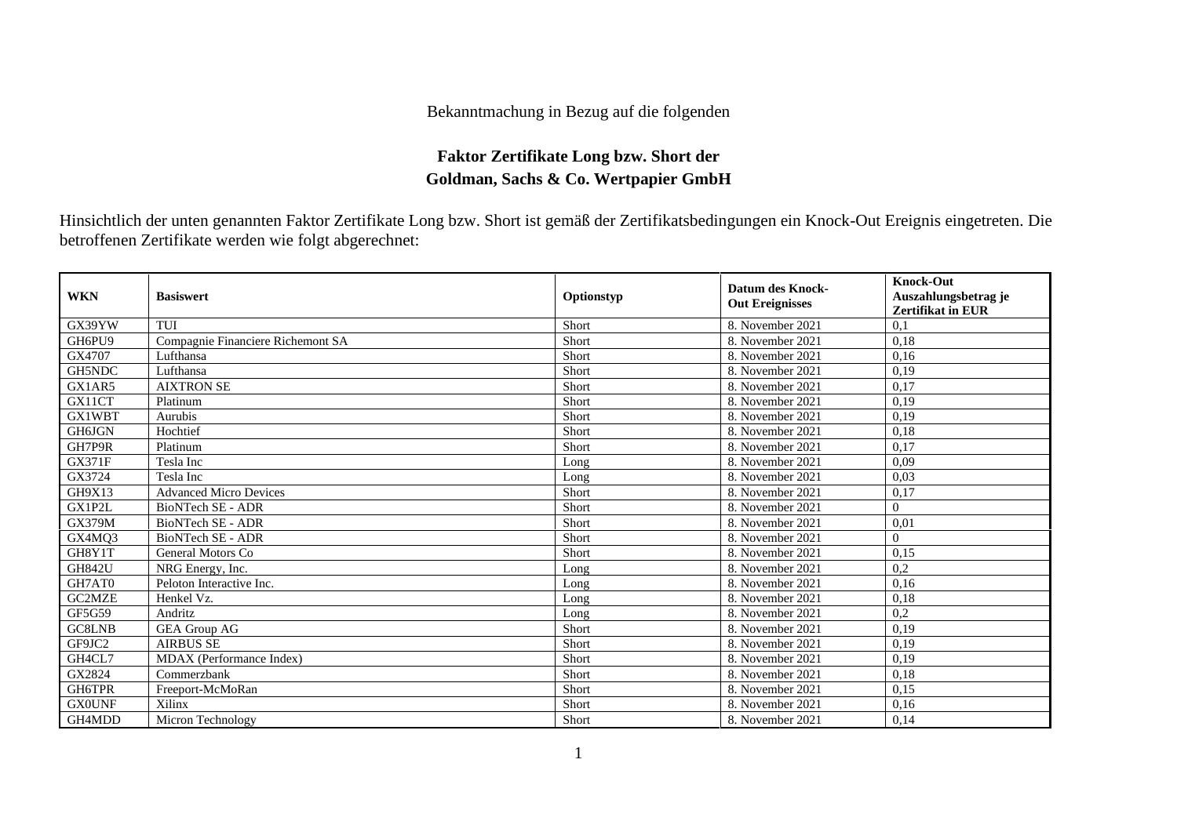## Bekanntmachung in Bezug auf die folgenden

## **Faktor Zertifikate Long bzw. Short der Goldman, Sachs & Co. Wertpapier GmbH**

Hinsichtlich der unten genannten Faktor Zertifikate Long bzw. Short ist gemäß der Zertifikatsbedingungen ein Knock-Out Ereignis eingetreten. Die betroffenen Zertifikate werden wie folgt abgerechnet:

| <b>WKN</b>    | <b>Basiswert</b>                  | Optionstyp | <b>Datum des Knock-</b><br><b>Out Ereignisses</b> | <b>Knock-Out</b><br>Auszahlungsbetrag je<br><b>Zertifikat in EUR</b> |
|---------------|-----------------------------------|------------|---------------------------------------------------|----------------------------------------------------------------------|
| GX39YW        | <b>TUI</b>                        | Short      | 8. November 2021                                  | 0.1                                                                  |
| GH6PU9        | Compagnie Financiere Richemont SA | Short      | 8. November 2021                                  | 0,18                                                                 |
| GX4707        | Lufthansa                         | Short      | 8. November 2021                                  | 0.16                                                                 |
| GH5NDC        | Lufthansa                         | Short      | 8. November 2021                                  | 0,19                                                                 |
| GX1AR5        | <b>AIXTRON SE</b>                 | Short      | 8. November 2021                                  | 0,17                                                                 |
| GX11CT        | Platinum                          | Short      | 8. November 2021                                  | 0.19                                                                 |
| GX1WBT        | Aurubis                           | Short      | 8. November 2021                                  | 0,19                                                                 |
| GH6JGN        | Hochtief                          | Short      | 8. November 2021                                  | 0.18                                                                 |
| GH7P9R        | Platinum                          | Short      | 8. November 2021                                  | 0,17                                                                 |
| <b>GX371F</b> | Tesla Inc                         | Long       | 8. November 2021                                  | 0.09                                                                 |
| GX3724        | Tesla Inc                         | Long       | 8. November 2021                                  | 0,03                                                                 |
| GH9X13        | <b>Advanced Micro Devices</b>     | Short      | 8. November 2021                                  | 0,17                                                                 |
| GX1P2L        | <b>BioNTech SE - ADR</b>          | Short      | 8. November 2021                                  | $\theta$                                                             |
| <b>GX379M</b> | <b>BioNTech SE - ADR</b>          | Short      | 8. November 2021                                  | 0,01                                                                 |
| GX4MQ3        | BioNTech SE - ADR                 | Short      | 8. November 2021                                  | $\Omega$                                                             |
| GH8Y1T        | General Motors Co                 | Short      | 8. November 2021                                  | 0,15                                                                 |
| <b>GH842U</b> | NRG Energy, Inc.                  | Long       | 8. November 2021                                  | 0,2                                                                  |
| GH7AT0        | Peloton Interactive Inc.          | Long       | 8. November 2021                                  | 0,16                                                                 |
| GC2MZE        | Henkel Vz.                        | Long       | 8. November 2021                                  | 0,18                                                                 |
| GF5G59        | Andritz                           | Long       | 8. November 2021                                  | 0,2                                                                  |
| GC8LNB        | <b>GEA Group AG</b>               | Short      | 8. November 2021                                  | 0.19                                                                 |
| GF9JC2        | <b>AIRBUS SE</b>                  | Short      | 8. November 2021                                  | 0.19                                                                 |
| GH4CL7        | MDAX (Performance Index)          | Short      | 8. November 2021                                  | 0,19                                                                 |
| GX2824        | Commerzbank                       | Short      | 8. November 2021                                  | 0,18                                                                 |
| GH6TPR        | Freeport-McMoRan                  | Short      | 8. November 2021                                  | 0,15                                                                 |
| <b>GX0UNF</b> | Xilinx                            | Short      | 8. November 2021                                  | 0,16                                                                 |
| GH4MDD        | Micron Technology                 | Short      | 8. November 2021                                  | 0,14                                                                 |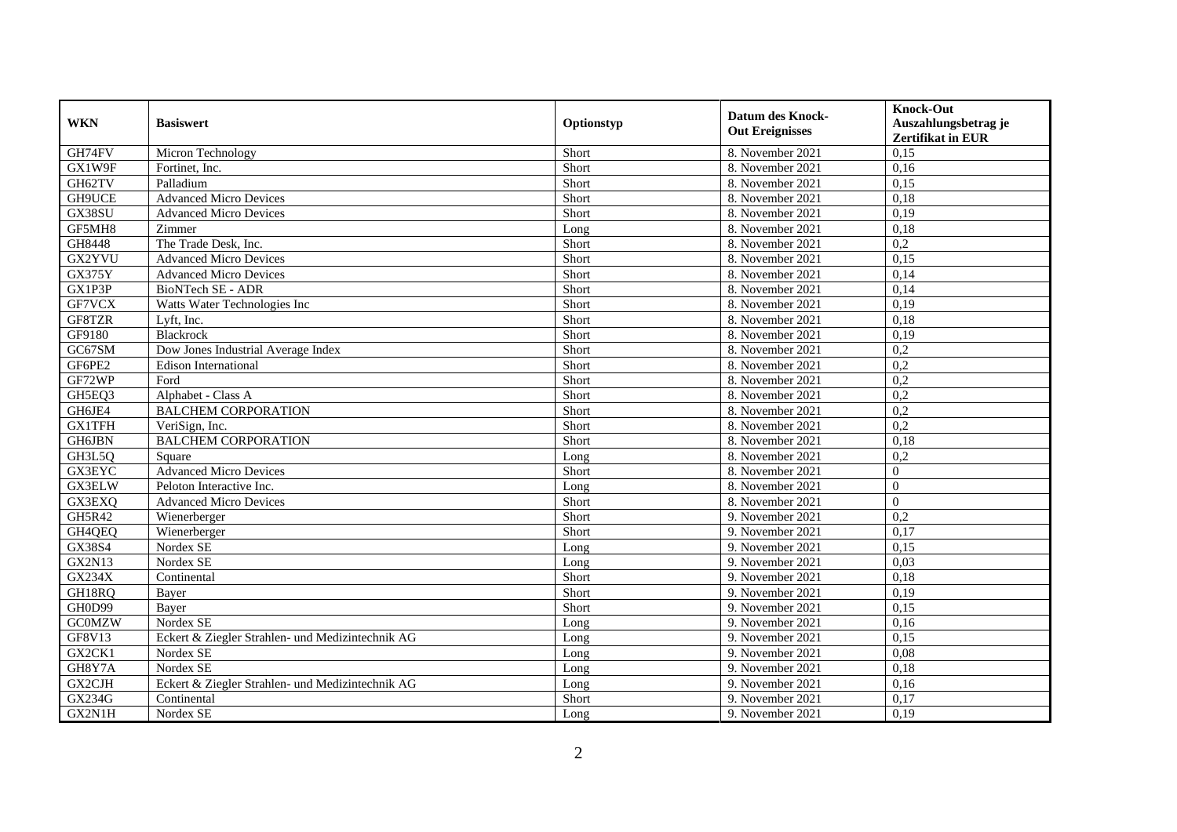| <b>WKN</b>    | <b>Basiswert</b>                                 | Optionstyp | <b>Datum des Knock-</b><br><b>Out Ereignisses</b> | <b>Knock-Out</b><br>Auszahlungsbetrag je<br><b>Zertifikat in EUR</b> |
|---------------|--------------------------------------------------|------------|---------------------------------------------------|----------------------------------------------------------------------|
| GH74FV        | Micron Technology                                | Short      | 8. November 2021                                  | 0,15                                                                 |
| GX1W9F        | Fortinet, Inc.                                   | Short      | 8. November 2021                                  | 0,16                                                                 |
| GH62TV        | Palladium                                        | Short      | 8. November 2021                                  | 0,15                                                                 |
| GH9UCE        | <b>Advanced Micro Devices</b>                    | Short      | 8. November 2021                                  | 0,18                                                                 |
| GX38SU        | <b>Advanced Micro Devices</b>                    | Short      | 8. November 2021                                  | 0,19                                                                 |
| GF5MH8        | Zimmer                                           | Long       | 8. November 2021                                  | 0,18                                                                 |
| GH8448        | The Trade Desk, Inc.                             | Short      | 8. November 2021                                  | $\overline{0.2}$                                                     |
| GX2YVU        | <b>Advanced Micro Devices</b>                    | Short      | 8. November 2021                                  | 0,15                                                                 |
| <b>GX375Y</b> | <b>Advanced Micro Devices</b>                    | Short      | 8. November 2021                                  | 0,14                                                                 |
| GX1P3P        | <b>BioNTech SE - ADR</b>                         | Short      | 8. November 2021                                  | 0,14                                                                 |
| GF7VCX        | Watts Water Technologies Inc                     | Short      | 8. November 2021                                  | 0,19                                                                 |
| GF8TZR        | Lyft, Inc.                                       | Short      | 8. November 2021                                  | 0,18                                                                 |
| GF9180        | Blackrock                                        | Short      | 8. November 2021                                  | 0,19                                                                 |
| GC67SM        | Dow Jones Industrial Average Index               | Short      | 8. November 2021                                  | 0,2                                                                  |
| GF6PE2        | <b>Edison International</b>                      | Short      | 8. November 2021                                  | 0,2                                                                  |
| GF72WP        | Ford                                             | Short      | 8. November 2021                                  | 0,2                                                                  |
| GH5EQ3        | Alphabet - Class A                               | Short      | 8. November 2021                                  | 0,2                                                                  |
| GH6JE4        | <b>BALCHEM CORPORATION</b>                       | Short      | 8. November 2021                                  | 0,2                                                                  |
| <b>GX1TFH</b> | VeriSign, Inc.                                   | Short      | 8. November 2021                                  | 0,2                                                                  |
| <b>GH6JBN</b> | <b>BALCHEM CORPORATION</b>                       | Short      | 8. November 2021                                  | 0,18                                                                 |
| GH3L5Q        | Square                                           | Long       | 8. November 2021                                  | 0,2                                                                  |
| <b>GX3EYC</b> | <b>Advanced Micro Devices</b>                    | Short      | 8. November 2021                                  | $\Omega$                                                             |
| GX3ELW        | Peloton Interactive Inc.                         | Long       | 8. November 2021                                  | $\Omega$                                                             |
| GX3EXQ        | <b>Advanced Micro Devices</b>                    | Short      | 8. November 2021                                  | $\Omega$                                                             |
| GH5R42        | Wienerberger                                     | Short      | 9. November 2021                                  | 0,2                                                                  |
| GH4QEQ        | Wienerberger                                     | Short      | 9. November 2021                                  | 0,17                                                                 |
| GX38S4        | Nordex SE                                        | Long       | 9. November 2021                                  | 0,15                                                                 |
| <b>GX2N13</b> | Nordex SE                                        | Long       | 9. November 2021                                  | 0,03                                                                 |
| GX234X        | Continental                                      | Short      | 9. November 2021                                  | 0,18                                                                 |
| GH18RQ        | Bayer                                            | Short      | 9. November 2021                                  | 0,19                                                                 |
| GH0D99        | Bayer                                            | Short      | 9. November 2021                                  | 0,15                                                                 |
| <b>GCOMZW</b> | Nordex SE                                        | Long       | 9. November 2021                                  | 0,16                                                                 |
| GF8V13        | Eckert & Ziegler Strahlen- und Medizintechnik AG | Long       | 9. November 2021                                  | 0.15                                                                 |
| GX2CK1        | Nordex SE                                        | Long       | 9. November 2021                                  | 0,08                                                                 |
| GH8Y7A        | Nordex SE                                        | Long       | 9. November 2021                                  | 0,18                                                                 |
| GX2CJH        | Eckert & Ziegler Strahlen- und Medizintechnik AG | Long       | 9. November 2021                                  | 0,16                                                                 |
| <b>GX234G</b> | Continental                                      | Short      | 9. November 2021                                  | 0,17                                                                 |
| GX2N1H        | Nordex SE                                        | Long       | 9. November 2021                                  | 0,19                                                                 |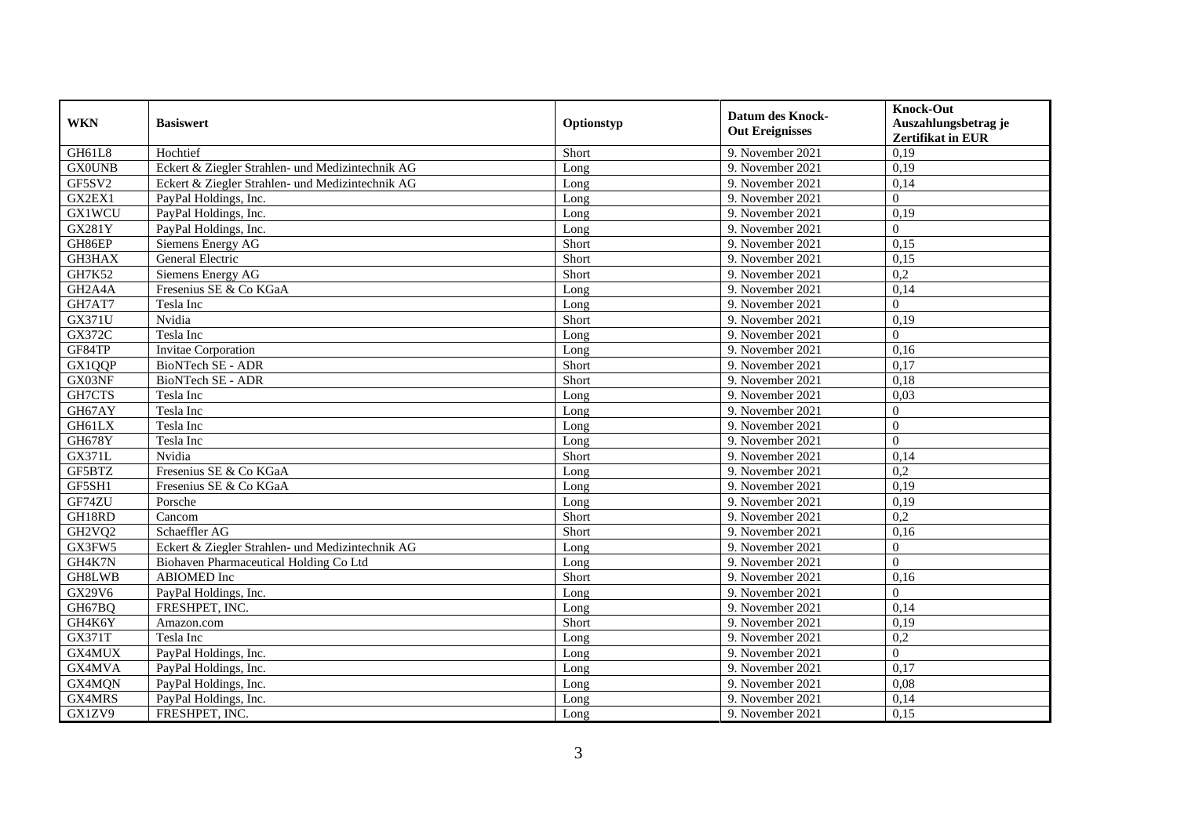| <b>WKN</b>                       | <b>Basiswert</b>                                 | Optionstyp | <b>Datum des Knock-</b><br><b>Out Ereignisses</b> | <b>Knock-Out</b><br>Auszahlungsbetrag je |
|----------------------------------|--------------------------------------------------|------------|---------------------------------------------------|------------------------------------------|
|                                  |                                                  |            |                                                   | <b>Zertifikat in EUR</b>                 |
| GH61L8                           | Hochtief                                         | Short      | 9. November 2021                                  | 0,19                                     |
| <b>GX0UNB</b>                    | Eckert & Ziegler Strahlen- und Medizintechnik AG | Long       | 9. November 2021                                  | 0,19                                     |
| GF5SV2                           | Eckert & Ziegler Strahlen- und Medizintechnik AG | Long       | 9. November 2021                                  | 0,14                                     |
| GX2EX1                           | PayPal Holdings, Inc.                            | Long       | 9. November 2021                                  | $\Omega$                                 |
| <b>GX1WCU</b>                    | PayPal Holdings, Inc.                            | Long       | 9. November 2021                                  | 0,19                                     |
| <b>GX281Y</b>                    | PayPal Holdings, Inc.                            | Long       | 9. November 2021                                  | $\Omega$                                 |
| GH86EP                           | Siemens Energy AG                                | Short      | 9. November 2021                                  | 0,15                                     |
| GH3HAX                           | General Electric                                 | Short      | 9. November 2021                                  | 0,15                                     |
| GH7K52                           | Siemens Energy AG                                | Short      | 9. November 2021                                  | 0,2                                      |
| GH <sub>2</sub> A <sub>4</sub> A | Fresenius SE & Co KGaA                           | Long       | 9. November 2021                                  | 0,14                                     |
| GH7AT7                           | Tesla Inc                                        | Long       | 9. November 2021                                  | $\Omega$                                 |
| <b>GX371U</b>                    | Nvidia                                           | Short      | 9. November 2021                                  | 0,19                                     |
| <b>GX372C</b>                    | Tesla Inc                                        | Long       | 9. November 2021                                  | $\Omega$                                 |
| GF84TP                           | Invitae Corporation                              | Long       | 9. November 2021                                  | 0,16                                     |
| GX1QQP                           | BioNTech SE - ADR                                | Short      | 9. November 2021                                  | 0,17                                     |
| GX03NF                           | BioNTech SE - ADR                                | Short      | 9. November 2021                                  | 0,18                                     |
| GH7CTS                           | Tesla Inc                                        | Long       | 9. November 2021                                  | 0,03                                     |
| GH67AY                           | Tesla Inc                                        | Long       | 9. November 2021                                  | $\Omega$                                 |
| GH61LX                           | Tesla Inc                                        | Long       | 9. November 2021                                  | $\Omega$                                 |
| <b>GH678Y</b>                    | Tesla Inc                                        | Long       | 9. November 2021                                  | $\Omega$                                 |
| <b>GX371L</b>                    | Nvidia                                           | Short      | 9. November 2021                                  | 0,14                                     |
| GF5BTZ                           | Fresenius SE & Co KGaA                           | Long       | 9. November 2021                                  | $\overline{0.2}$                         |
| GF5SH1                           | Fresenius SE & Co KGaA                           | Long       | 9. November 2021                                  | 0,19                                     |
| GF74ZU                           | Porsche                                          | Long       | 9. November 2021                                  | 0,19                                     |
| GH18RD                           | Cancom                                           | Short      | 9. November 2021                                  | 0,2                                      |
| GH2VQ2                           | Schaeffler AG                                    | Short      | 9. November 2021                                  | 0,16                                     |
| GX3FW5                           | Eckert & Ziegler Strahlen- und Medizintechnik AG | Long       | 9. November 2021                                  | $\Omega$                                 |
| GH4K7N                           | Biohaven Pharmaceutical Holding Co Ltd           | Long       | 9. November 2021                                  | $\Omega$                                 |
| <b>GH8LWB</b>                    | <b>ABIOMED</b> Inc                               | Short      | 9. November 2021                                  | 0,16                                     |
| GX29V6                           | PayPal Holdings, Inc.                            | Long       | 9. November 2021                                  | $\Omega$                                 |
| GH67BQ                           | FRESHPET, INC.                                   | Long       | 9. November 2021                                  | 0,14                                     |
| GH4K6Y                           | Amazon.com                                       | Short      | 9. November 2021                                  | 0,19                                     |
| <b>GX371T</b>                    | Tesla Inc                                        | Long       | 9. November 2021                                  | $\overline{0,2}$                         |
| GX4MUX                           | PayPal Holdings, Inc.                            | Long       | 9. November 2021                                  | $\Omega$                                 |
| GX4MVA                           | PayPal Holdings, Inc.                            | Long       | 9. November 2021                                  | 0,17                                     |
| GX4MQN                           | PayPal Holdings, Inc.                            | Long       | 9. November 2021                                  | 0,08                                     |
| GX4MRS                           | PayPal Holdings, Inc.                            | Long       | 9. November 2021                                  | 0,14                                     |
| GX1ZV9                           | FRESHPET, INC.                                   | Long       | 9. November 2021                                  | 0,15                                     |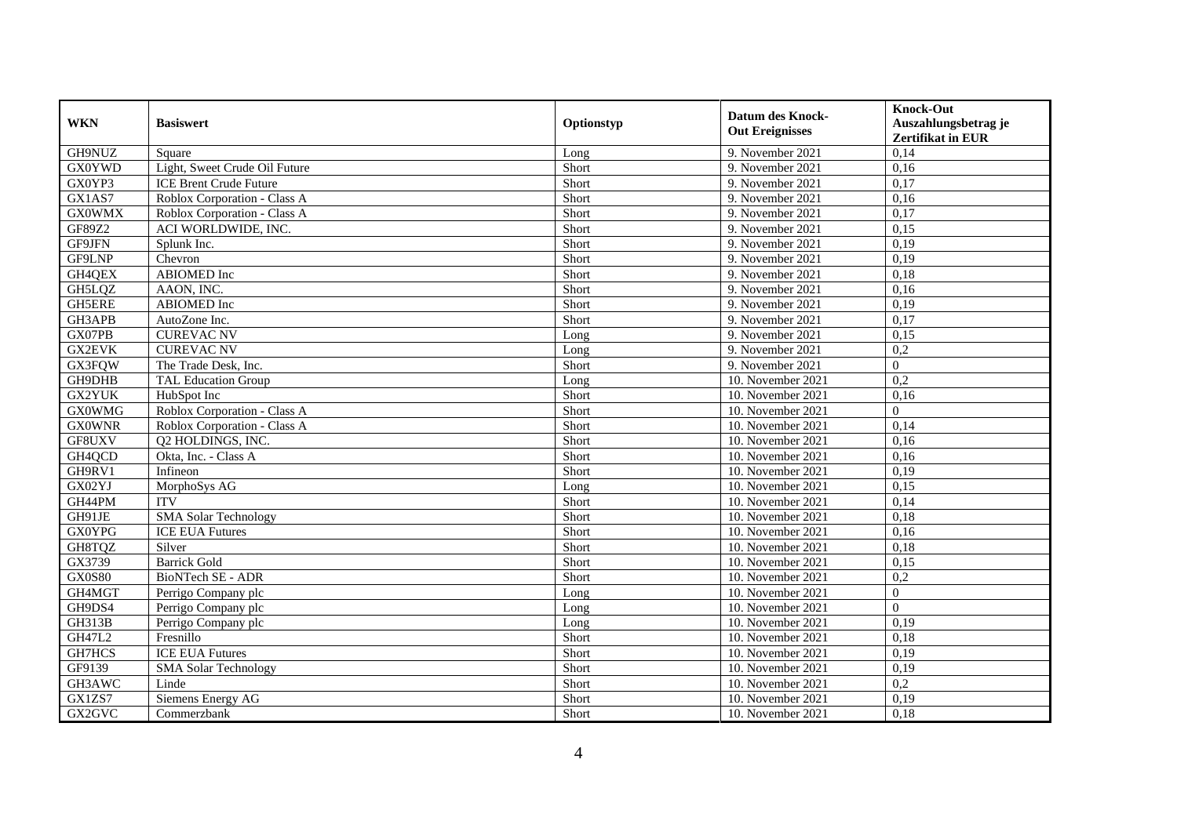| <b>WKN</b>    | <b>Basiswert</b>              | Optionstyp | <b>Datum des Knock-</b><br><b>Out Ereignisses</b> | <b>Knock-Out</b><br>Auszahlungsbetrag je<br><b>Zertifikat in EUR</b> |
|---------------|-------------------------------|------------|---------------------------------------------------|----------------------------------------------------------------------|
| GH9NUZ        | Square                        | Long       | 9. November 2021                                  | 0,14                                                                 |
| <b>GX0YWD</b> | Light, Sweet Crude Oil Future | Short      | 9. November 2021                                  | 0,16                                                                 |
| GX0YP3        | <b>ICE Brent Crude Future</b> | Short      | 9. November 2021                                  | 0,17                                                                 |
| GX1AS7        | Roblox Corporation - Class A  | Short      | 9. November 2021                                  | 0,16                                                                 |
| <b>GX0WMX</b> | Roblox Corporation - Class A  | Short      | 9. November 2021                                  | 0,17                                                                 |
| GF89Z2        | ACI WORLDWIDE, INC.           | Short      | 9. November 2021                                  | 0,15                                                                 |
| GF9JFN        | Splunk Inc.                   | Short      | 9. November 2021                                  | 0,19                                                                 |
| GF9LNP        | Chevron                       | Short      | 9. November 2021                                  | 0,19                                                                 |
| GH4QEX        | ABIOMED Inc                   | Short      | 9. November 2021                                  | 0,18                                                                 |
| GH5LQZ        | AAON, INC.                    | Short      | 9. November 2021                                  | 0,16                                                                 |
| <b>GH5ERE</b> | ABIOMED Inc                   | Short      | 9. November 2021                                  | 0,19                                                                 |
| GH3APB        | AutoZone Inc.                 | Short      | 9. November 2021                                  | 0,17                                                                 |
| GX07PB        | <b>CUREVAC NV</b>             | Long       | 9. November 2021                                  | 0,15                                                                 |
| <b>GX2EVK</b> | <b>CUREVAC NV</b>             | Long       | 9. November 2021                                  | 0,2                                                                  |
| GX3FQW        | The Trade Desk, Inc.          | Short      | 9. November 2021                                  | $\Omega$                                                             |
| GH9DHB        | <b>TAL Education Group</b>    | Long       | 10. November 2021                                 | 0,2                                                                  |
| GX2YUK        | HubSpot Inc                   | Short      | 10. November 2021                                 | 0,16                                                                 |
| <b>GX0WMG</b> | Roblox Corporation - Class A  | Short      | 10. November 2021                                 | $\overline{0}$                                                       |
| <b>GX0WNR</b> | Roblox Corporation - Class A  | Short      | 10. November 2021                                 | 0,14                                                                 |
| GF8UXV        | Q2 HOLDINGS, INC.             | Short      | 10. November 2021                                 | 0,16                                                                 |
| GH4QCD        | Okta, Inc. - Class A          | Short      | 10. November 2021                                 | 0,16                                                                 |
| GH9RV1        | Infineon                      | Short      | 10. November 2021                                 | 0.19                                                                 |
| GX02YJ        | MorphoSys AG                  | Long       | 10. November 2021                                 | 0,15                                                                 |
| GH44PM        | <b>ITV</b>                    | Short      | 10. November 2021                                 | 0,14                                                                 |
| GH91JE        | <b>SMA Solar Technology</b>   | Short      | 10. November 2021                                 | 0,18                                                                 |
| <b>GX0YPG</b> | <b>ICE EUA Futures</b>        | Short      | 10. November 2021                                 | 0,16                                                                 |
| GH8TQZ        | Silver                        | Short      | 10. November 2021                                 | 0,18                                                                 |
| GX3739        | <b>Barrick Gold</b>           | Short      | 10. November 2021                                 | 0,15                                                                 |
| <b>GX0S80</b> | <b>BioNTech SE - ADR</b>      | Short      | 10. November 2021                                 | 0,2                                                                  |
| GH4MGT        | Perrigo Company plc           | Long       | 10. November 2021                                 | $\Omega$                                                             |
| GH9DS4        | Perrigo Company plc           | Long       | 10. November 2021                                 | $\Omega$                                                             |
| <b>GH313B</b> | Perrigo Company plc           | Long       | 10. November 2021                                 | 0,19                                                                 |
| GH47L2        | Fresnillo                     | Short      | 10. November 2021                                 | 0.18                                                                 |
| GH7HCS        | <b>ICE EUA Futures</b>        | Short      | 10. November 2021                                 | 0,19                                                                 |
| GF9139        | <b>SMA Solar Technology</b>   | Short      | 10. November 2021                                 | 0,19                                                                 |
| GH3AWC        | Linde                         | Short      | 10. November 2021                                 | 0,2                                                                  |
| GX1ZS7        | <b>Siemens Energy AG</b>      | Short      | 10. November 2021                                 | 0,19                                                                 |
| GX2GVC        | Commerzbank                   | Short      | 10. November 2021                                 | 0,18                                                                 |